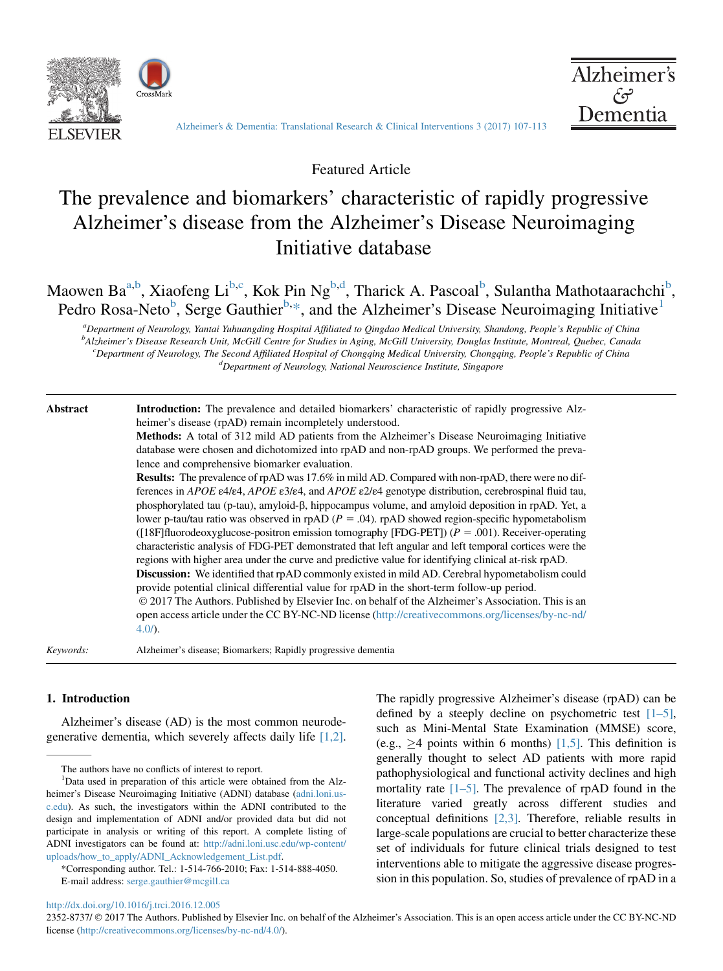



[Alzheimer's & Dementia: Translational Research & Clinical Interventions 3 \(2017\) 107-113](http://dx.doi.org/10.1016/j.trci.2016.12.005)

Featured Article

# The prevalence and biomarkers' characteristic of rapidly progressive Alzheimer's disease from the Alzheimer's Disease Neuroimaging Initiative database

Maowen Ba<sup>a,b</sup>, Xiaofeng Li<sup>b,c</sup>, Kok Pin Ng<sup>b,d</sup>, Tharick A. Pascoal<sup>b</sup>, Sulantha Mathotaarachchi<sup>b</sup>, Pedro Rosa-Neto<sup>b</sup>, Serge Gauthier<sup>b,\*</sup>, and the Alzheimer's Disease Neuroimaging Initiative<sup>1</sup>

a Department of Neurology, Yantai Yuhuangding Hospital Affiliated to Qingdao Medical University, Shandong, People's Republic of China <sub>p</sub><br>Balzheimer's Disease Research Unit, McGill Centre for Studies in Aging, McGill University, Douglas Institute, Montreal, Quebec, Canada <sup>c</sup> Department of Neurology, The Second Affiliated Hospital of Chongqing Medical University, Chongqing, People's Republic of China d<br><sup>d</sup> Department of Neuroleay, National Neurosciance Institute, Singapore <sup>d</sup>Department of Neurology, National Neuroscience Institute, Singapore

Abstract Introduction: The prevalence and detailed biomarkers' characteristic of rapidly progressive Alzheimer's disease (rpAD) remain incompletely understood.

> Methods: A total of 312 mild AD patients from the Alzheimer's Disease Neuroimaging Initiative database were chosen and dichotomized into rpAD and non-rpAD groups. We performed the prevalence and comprehensive biomarker evaluation.

Results: The prevalence of rpAD was 17.6% in mild AD. Compared with non-rpAD, there were no differences in APOE ε4/ε4, APOE ε3/ε4, and APOE ε2/ε4 genotype distribution, cerebrospinal fluid tau, phosphorylated tau (p-tau), amyloid-b, hippocampus volume, and amyloid deposition in rpAD. Yet, a lower p-tau/tau ratio was observed in rpAD  $(P = .04)$ . rpAD showed region-specific hypometabolism ( $[18F]$ fluorodeoxyglucose-positron emission tomography [FDG-PET]) ( $P = .001$ ). Receiver-operating characteristic analysis of FDG-PET demonstrated that left angular and left temporal cortices were the regions with higher area under the curve and predictive value for identifying clinical at-risk rpAD.

Discussion: We identified that rpAD commonly existed in mild AD. Cerebral hypometabolism could provide potential clinical differential value for rpAD in the short-term follow-up period.

 2017 The Authors. Published by Elsevier Inc. on behalf of the Alzheimer's Association. This is an open access article under the CC BY-NC-ND license ([http://creativecommons.org/licenses/by-nc-nd/](http://creativecommons.org/licenses/by-nc-nd/4.0/) [4.0/](http://creativecommons.org/licenses/by-nc-nd/4.0/)).

Keywords: Alzheimer's disease; Biomarkers; Rapidly progressive dementia

#### 1. Introduction

Alzheimer's disease (AD) is the most common neurodegenerative dementia, which severely affects daily life [\[1,2\].](#page-6-0) The rapidly progressive Alzheimer's disease (rpAD) can be defined by a steeply decline on psychometric test  $[1-5]$ , such as Mini-Mental State Examination (MMSE) score, (e.g.,  $\geq$ 4 points within 6 months) [\[1,5\]](#page-6-0). This definition is generally thought to select AD patients with more rapid pathophysiological and functional activity declines and high mortality rate  $[1–5]$ . The prevalence of rpAD found in the literature varied greatly across different studies and conceptual definitions [\[2,3\].](#page-6-0) Therefore, reliable results in large-scale populations are crucial to better characterize these set of individuals for future clinical trials designed to test interventions able to mitigate the aggressive disease progression in this population. So, studies of prevalence of rpAD in a

<http://dx.doi.org/10.1016/j.trci.2016.12.005>

2352-8737/  $\odot$  2017 The Authors. Published by Elsevier Inc. on behalf of the Alzheimer's Association. This is an open access article under the CC BY-NC-ND license ([http://creativecommons.org/licenses/by-nc-nd/4.0/\)](http://creativecommons.org/licenses/by-nc-nd/4.0/).

The authors have no conflicts of interest to report.

<sup>&</sup>lt;sup>1</sup>Data used in preparation of this article were obtained from the Alzheimer's Disease Neuroimaging Initiative (ADNI) database [\(adni.loni.us](http://adni.loni.usc.edu)[c.edu\)](http://adni.loni.usc.edu). As such, the investigators within the ADNI contributed to the design and implementation of ADNI and/or provided data but did not participate in analysis or writing of this report. A complete listing of ADNI investigators can be found at: [http://adni.loni.usc.edu/wp-content/](http://adni.loni.usc.edu/wp-content/uploads/how_to_apply/ADNI_Acknowledgement_List.pdf) [uploads/how\\_to\\_apply/ADNI\\_Acknowledgement\\_List.pdf](http://adni.loni.usc.edu/wp-content/uploads/how_to_apply/ADNI_Acknowledgement_List.pdf).

<sup>\*</sup>Corresponding author. Tel.: 1-514-766-2010; Fax: 1-514-888-4050. E-mail address: [serge.gauthier@mcgill.ca](mailto:serge.gauthier@mcgill.ca)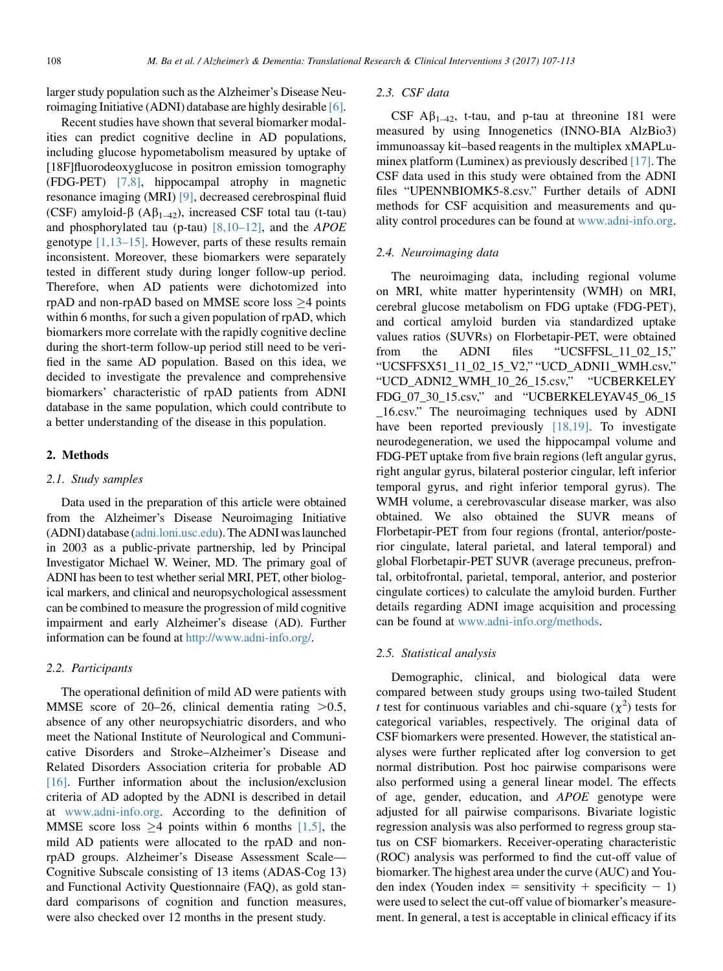larger study population such as the Alzheimer's Disease Neuroimaging Initiative (ADNI) database are highly desirable [\[6\].](#page-6-0)

Recent studies have shown that several biomarker modalities can predict cognitive decline in AD populations, including glucose hypometabolism measured by uptake of [18F]fluorodeoxyglucose in positron emission tomography (FDG-PET) [\[7,8\]](#page-6-0), hippocampal atrophy in magnetic resonance imaging (MRI) [\[9\]](#page-6-0), decreased cerebrospinal fluid (CSF) amyloid- $\beta$  (A $\beta_{1-42}$ ), increased CSF total tau (t-tau) and phosphorylated tau (p-tau)  $[8,10-12]$ , and the *APOE* genotype [\[1,13–15\].](#page-6-0) However, parts of these results remain inconsistent. Moreover, these biomarkers were separately tested in different study during longer follow-up period. Therefore, when AD patients were dichotomized into rpAD and non-rpAD based on MMSE score loss  $\geq$ 4 points within 6 months, for such a given population of rpAD, which biomarkers more correlate with the rapidly cognitive decline during the short-term follow-up period still need to be verified in the same AD population. Based on this idea, we decided to investigate the prevalence and comprehensive biomarkers' characteristic of rpAD patients from ADNI database in the same population, which could contribute to a better understanding of the disease in this population.

#### 2. Methods

## 2.1. Study samples

Data used in the preparation of this article were obtained from the Alzheimer's Disease Neuroimaging Initiative (ADNI) database ([adni.loni.usc.edu\)](http://adni.loni.usc.edu). The ADNI waslaunched in 2003 as a public-private partnership, led by Principal Investigator Michael W. Weiner, MD. The primary goal of ADNI has been to test whether serial MRI, PET, other biological markers, and clinical and neuropsychological assessment can be combined to measure the progression of mild cognitive impairment and early Alzheimer's disease (AD). Further information can be found at <http://www.adni-info.org/>.

#### 2.2. Participants

The operational definition of mild AD were patients with MMSE score of 20–26, clinical dementia rating  $>0.5$ , absence of any other neuropsychiatric disorders, and who meet the National Institute of Neurological and Communicative Disorders and Stroke–Alzheimer's Disease and Related Disorders Association criteria for probable AD [\[16\].](#page-6-0) Further information about the inclusion/exclusion criteria of AD adopted by the ADNI is described in detail at [www.adni-info.org](http://www.adni-info.org). According to the definition of MMSE score loss  $\geq$ 4 points within 6 months [\[1,5\],](#page-6-0) the mild AD patients were allocated to the rpAD and nonrpAD groups. Alzheimer's Disease Assessment Scale— Cognitive Subscale consisting of 13 items (ADAS-Cog 13) and Functional Activity Questionnaire (FAQ), as gold standard comparisons of cognition and function measures, were also checked over 12 months in the present study.

### 2.3. CSF data

CSF  $\mathbf{A}\beta_{1-42}$ , t-tau, and p-tau at threonine 181 were measured by using Innogenetics (INNO-BIA AlzBio3) immunoassay kit–based reagents in the multiplex xMAPLuminex platform (Luminex) as previously described [\[17\]](#page-6-0). The CSF data used in this study were obtained from the ADNI files "UPENNBIOMK5-8.csv." Further details of ADNI methods for CSF acquisition and measurements and quality control procedures can be found at [www.adni-info.org.](http://www.adni-info.org)

#### 2.4. Neuroimaging data

The neuroimaging data, including regional volume on MRI, white matter hyperintensity (WMH) on MRI, cerebral glucose metabolism on FDG uptake (FDG-PET), and cortical amyloid burden via standardized uptake values ratios (SUVRs) on Florbetapir-PET, were obtained from the ADNI files "UCSFFSL\_11\_02\_15," "UCSFFSX51\_11\_02\_15\_V2," "UCD\_ADNI1\_WMH.csv," "UCD\_ADNI2\_WMH\_10\_26\_15.csv," "UCBERKELEY FDG\_07\_30\_15.csv," and "UCBERKELEYAV45\_06\_15 \_16.csv." The neuroimaging techniques used by ADNI have been reported previously [\[18,19\]](#page-6-0). To investigate neurodegeneration, we used the hippocampal volume and FDG-PET uptake from five brain regions (left angular gyrus, right angular gyrus, bilateral posterior cingular, left inferior temporal gyrus, and right inferior temporal gyrus). The WMH volume, a cerebrovascular disease marker, was also obtained. We also obtained the SUVR means of Florbetapir-PET from four regions (frontal, anterior/posterior cingulate, lateral parietal, and lateral temporal) and global Florbetapir-PET SUVR (average precuneus, prefrontal, orbitofrontal, parietal, temporal, anterior, and posterior cingulate cortices) to calculate the amyloid burden. Further details regarding ADNI image acquisition and processing can be found at [www.adni-info.org/methods.](http://www.adni-info.org/methods)

#### 2.5. Statistical analysis

Demographic, clinical, and biological data were compared between study groups using two-tailed Student t test for continuous variables and chi-square  $(\chi^2)$  tests for categorical variables, respectively. The original data of CSF biomarkers were presented. However, the statistical analyses were further replicated after log conversion to get normal distribution. Post hoc pairwise comparisons were also performed using a general linear model. The effects of age, gender, education, and APOE genotype were adjusted for all pairwise comparisons. Bivariate logistic regression analysis was also performed to regress group status on CSF biomarkers. Receiver-operating characteristic (ROC) analysis was performed to find the cut-off value of biomarker. The highest area under the curve (AUC) and Youden index (Youden index = sensitivity + specificity  $- 1$ ) were used to select the cut-off value of biomarker's measurement. In general, a test is acceptable in clinical efficacy if its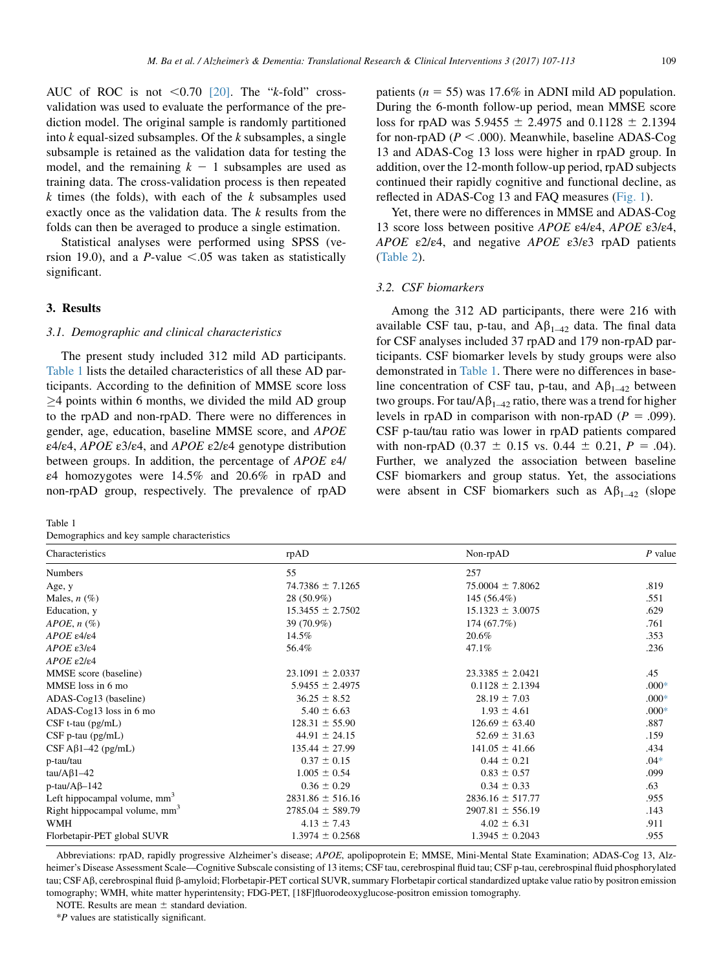<span id="page-2-0"></span>AUC of ROC is not  $\leq 0.70$  [\[20\]](#page-6-0). The "k-fold" crossvalidation was used to evaluate the performance of the prediction model. The original sample is randomly partitioned into  $k$  equal-sized subsamples. Of the  $k$  subsamples, a single subsample is retained as the validation data for testing the model, and the remaining  $k - 1$  subsamples are used as training data. The cross-validation process is then repeated  $k$  times (the folds), with each of the  $k$  subsamples used exactly once as the validation data. The  $k$  results from the folds can then be averaged to produce a single estimation.

Statistical analyses were performed using SPSS (version 19.0), and a *P*-value  $\leq .05$  was taken as statistically significant.

### 3. Results

#### 3.1. Demographic and clinical characteristics

The present study included 312 mild AD participants. Table 1 lists the detailed characteristics of all these AD participants. According to the definition of MMSE score loss  $\geq$ 4 points within 6 months, we divided the mild AD group to the rpAD and non-rpAD. There were no differences in gender, age, education, baseline MMSE score, and APOE ε4/ε4, APOE ε3/ε4, and APOE ε2/ε4 genotype distribution between groups. In addition, the percentage of  $APOE$   $\varepsilon$ 4/ ε4 homozygotes were 14.5% and 20.6% in rpAD and non-rpAD group, respectively. The prevalence of rpAD

Table 1 Demographics and key sample characteristics

patients ( $n = 55$ ) was 17.6% in ADNI mild AD population. During the 6-month follow-up period, mean MMSE score loss for rpAD was  $5.9455 \pm 2.4975$  and  $0.1128 \pm 2.1394$ for non-rpAD ( $P < .000$ ). Meanwhile, baseline ADAS-Cog 13 and ADAS-Cog 13 loss were higher in rpAD group. In addition, over the 12-month follow-up period, rpAD subjects continued their rapidly cognitive and functional decline, as reflected in ADAS-Cog 13 and FAQ measures [\(Fig. 1\)](#page-3-0).

Yet, there were no differences in MMSE and ADAS-Cog 13 score loss between positive APOE ε4/ε4, APOE ε3/ε4, APOE  $\epsilon$ 2/ $\epsilon$ 4, and negative APOE  $\epsilon$ 3/ $\epsilon$ 3 rpAD patients [\(Table 2](#page-3-0)).

#### 3.2. CSF biomarkers

Among the 312 AD participants, there were 216 with available CSF tau, p-tau, and  $A\beta_{1-42}$  data. The final data for CSF analyses included 37 rpAD and 179 non-rpAD participants. CSF biomarker levels by study groups were also demonstrated in Table 1. There were no differences in baseline concentration of CSF tau, p-tau, and  $A\beta_{1-42}$  between two groups. For tau/ $A\beta_{1-42}$  ratio, there was a trend for higher levels in rpAD in comparison with non-rpAD ( $P = .099$ ). CSF p-tau/tau ratio was lower in rpAD patients compared with non-rpAD (0.37  $\pm$  0.15 vs. 0.44  $\pm$  0.21, P = .04). Further, we analyzed the association between baseline CSF biomarkers and group status. Yet, the associations were absent in CSF biomarkers such as  $A\beta_{1-42}$  (slope

| Characteristics                           | rpAD                 | Non-rpAD             | $P$ value |  |  |
|-------------------------------------------|----------------------|----------------------|-----------|--|--|
| <b>Numbers</b>                            | 55                   | 257                  |           |  |  |
| Age, y                                    | $74.7386 \pm 7.1265$ | $75.0004 \pm 7.8062$ | .819      |  |  |
| Males, $n$ $(\%)$                         | 28 (50.9%)           | 145 (56.4%)          | .551      |  |  |
| Education, y                              | $15.3455 \pm 2.7502$ | $15.1323 \pm 3.0075$ | .629      |  |  |
| $APOE, n (\%)$                            | 39 (70.9%)           | 174 (67.7%)          | .761      |  |  |
| $APOE$ $\varepsilon$ 4/ $\varepsilon$ 4   | 14.5%                | 20.6%                | .353      |  |  |
| $APOE$ $\varepsilon$ $3/\varepsilon$ $4$  | 56.4%                | 47.1%                | .236      |  |  |
| $APOE$ ε2/ε4                              |                      |                      |           |  |  |
| MMSE score (baseline)                     | $23.1091 \pm 2.0337$ | $23.3385 \pm 2.0421$ | .45       |  |  |
| MMSE loss in 6 mo                         | $5.9455 \pm 2.4975$  | $0.1128 \pm 2.1394$  | $.000*$   |  |  |
| ADAS-Cog13 (baseline)                     | $36.25 \pm 8.52$     | $28.19 \pm 7.03$     | $.000*$   |  |  |
| ADAS-Cog13 loss in 6 mo                   | $5.40 \pm 6.63$      | $1.93 \pm 4.61$      | $.000*$   |  |  |
| $CSF$ t-tau ( $pg/mL$ )                   | $128.31 \pm 55.90$   | $126.69 \pm 63.40$   | .887      |  |  |
| $CSF$ p-tau ( $pg/mL$ )                   | $44.91 \pm 24.15$    | $52.69 \pm 31.63$    | .159      |  |  |
| $CSF A\beta1-42$ (pg/mL)                  | $135.44 \pm 27.99$   | $141.05 \pm 41.66$   | .434      |  |  |
| p-tau/tau                                 | $0.37 \pm 0.15$      | $0.44 \pm 0.21$      | $.04*$    |  |  |
| tau/A $\beta$ 1-42                        | $1.005 \pm 0.54$     | $0.83 \pm 0.57$      | .099      |  |  |
| $p$ -tau/A $\beta$ -142                   | $0.36 \pm 0.29$      | $0.34 \pm 0.33$      | .63       |  |  |
| Left hippocampal volume, mm <sup>3</sup>  | $2831.86 \pm 516.16$ | $2836.16 \pm 517.77$ | .955      |  |  |
| Right hippocampal volume, mm <sup>3</sup> | $2785.04 \pm 589.79$ | $2907.81 \pm 556.19$ | .143      |  |  |
| WMH                                       | $4.13 \pm 7.43$      | $4.02 \pm 6.31$      | .911      |  |  |
| Florbetapir-PET global SUVR               | $1.3974 \pm 0.2568$  | $1.3945 \pm 0.2043$  | .955      |  |  |

Abbreviations: rpAD, rapidly progressive Alzheimer's disease; APOE, apolipoprotein E; MMSE, Mini-Mental State Examination; ADAS-Cog 13, Alzheimer's Disease Assessment Scale—Cognitive Subscale consisting of 13 items; CSF tau, cerebrospinal fluid tau; CSF p-tau, cerebrospinal fluid phosphorylated tau; CSF Ab, cerebrospinal fluid b-amyloid; Florbetapir-PET cortical SUVR, summary Florbetapir cortical standardized uptake value ratio by positron emission tomography; WMH, white matter hyperintensity; FDG-PET, [18F]fluorodeoxyglucose-positron emission tomography.

NOTE. Results are mean  $\pm$  standard deviation.

\*P values are statistically significant.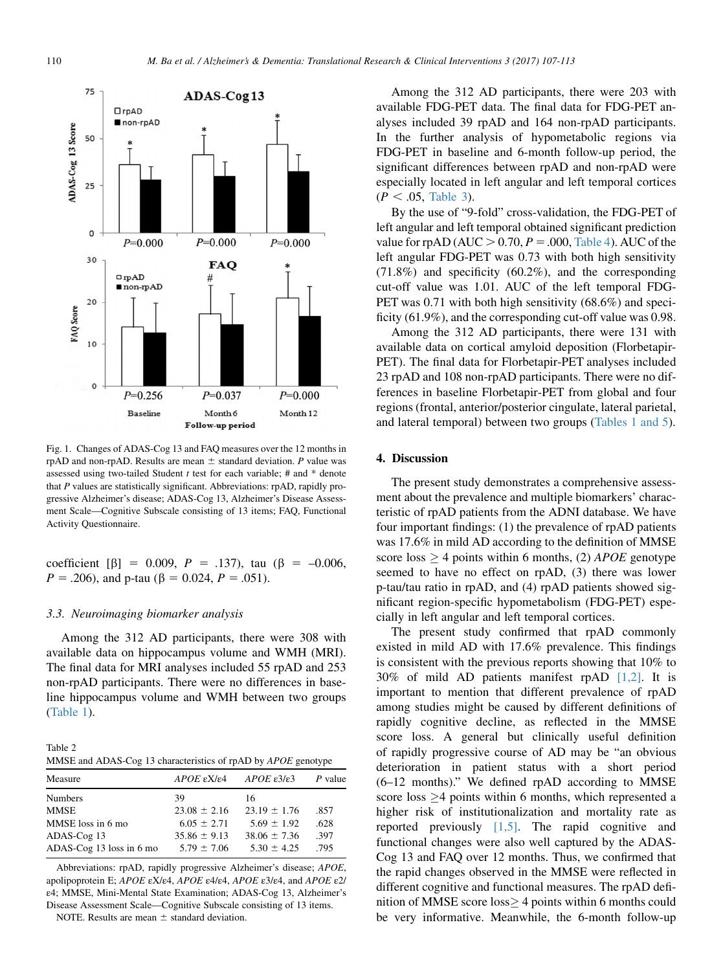<span id="page-3-0"></span>

Fig. 1. Changes of ADAS-Cog 13 and FAQ measures over the 12 months in rpAD and non-rpAD. Results are mean  $\pm$  standard deviation. P value was assessed using two-tailed Student  $t$  test for each variable;  $#$  and  $*$  denote that P values are statistically significant. Abbreviations: rpAD, rapidly progressive Alzheimer's disease; ADAS-Cog 13, Alzheimer's Disease Assessment Scale—Cognitive Subscale consisting of 13 items; FAQ, Functional Activity Questionnaire.

coefficient [ $\beta$ ] = 0.009, P = .137), tau ( $\beta$  = -0.006,  $P = .206$ , and p-tau ( $\beta = 0.024$ ,  $P = .051$ ).

#### 3.3. Neuroimaging biomarker analysis

Among the 312 AD participants, there were 308 with available data on hippocampus volume and WMH (MRI). The final data for MRI analyses included 55 rpAD and 253 non-rpAD participants. There were no differences in baseline hippocampus volume and WMH between two groups [\(Table 1](#page-2-0)).

Table 2 MMSE and ADAS-Cog 13 characteristics of rpAD by APOE genotype

| Measure                  | APOE εX/ε4       | APOE $\varepsilon$ 3/ $\varepsilon$ 3 | P value |
|--------------------------|------------------|---------------------------------------|---------|
| <b>Numbers</b>           | 39               | 16                                    |         |
| <b>MMSE</b>              | $23.08 \pm 2.16$ | $23.19 \pm 1.76$                      | .857    |
| MMSE loss in 6 mo        | $6.05 \pm 2.71$  | $5.69 \pm 1.92$                       | .628    |
| ADAS-Cog 13              | $35.86 \pm 9.13$ | $38.06 \pm 7.36$                      | .397    |
| ADAS-Cog 13 loss in 6 mo | $5.79 \pm 7.06$  | $5.30 \pm 4.25$                       | .795    |

Abbreviations: rpAD, rapidly progressive Alzheimer's disease; APOE, apolipoprotein E; APOE εX/ε4, APOE ε4/ε4, APOE ε3/ε4, and APOE ε2/ ε4; MMSE, Mini-Mental State Examination; ADAS-Cog 13, Alzheimer's Disease Assessment Scale—Cognitive Subscale consisting of 13 items.

NOTE. Results are mean  $\pm$  standard deviation.

Among the 312 AD participants, there were 203 with available FDG-PET data. The final data for FDG-PET analyses included 39 rpAD and 164 non-rpAD participants. In the further analysis of hypometabolic regions via FDG-PET in baseline and 6-month follow-up period, the significant differences between rpAD and non-rpAD were especially located in left angular and left temporal cortices  $(P < .05,$  [Table 3\)](#page-4-0).

By the use of "9-fold" cross-validation, the FDG-PET of left angular and left temporal obtained significant prediction value for rpAD ( $AUC > 0.70$ ,  $P = .000$ , [Table 4\)](#page-4-0). AUC of the left angular FDG-PET was 0.73 with both high sensitivity (71.8%) and specificity (60.2%), and the corresponding cut-off value was 1.01. AUC of the left temporal FDG-PET was 0.71 with both high sensitivity (68.6%) and specificity (61.9%), and the corresponding cut-off value was 0.98.

Among the 312 AD participants, there were 131 with available data on cortical amyloid deposition (Florbetapir-PET). The final data for Florbetapir-PET analyses included 23 rpAD and 108 non-rpAD participants. There were no differences in baseline Florbetapir-PET from global and four regions (frontal, anterior/posterior cingulate, lateral parietal, and lateral temporal) between two groups [\(Tables 1 and 5\)](#page-2-0).

#### 4. Discussion

The present study demonstrates a comprehensive assessment about the prevalence and multiple biomarkers' characteristic of rpAD patients from the ADNI database. We have four important findings: (1) the prevalence of rpAD patients was 17.6% in mild AD according to the definition of MMSE score loss  $\geq$  4 points within 6 months, (2) *APOE* genotype seemed to have no effect on rpAD, (3) there was lower p-tau/tau ratio in rpAD, and (4) rpAD patients showed significant region-specific hypometabolism (FDG-PET) especially in left angular and left temporal cortices.

The present study confirmed that rpAD commonly existed in mild AD with 17.6% prevalence. This findings is consistent with the previous reports showing that 10% to 30% of mild AD patients manifest rpAD [\[1,2\]](#page-6-0). It is important to mention that different prevalence of rpAD among studies might be caused by different definitions of rapidly cognitive decline, as reflected in the MMSE score loss. A general but clinically useful definition of rapidly progressive course of AD may be "an obvious deterioration in patient status with a short period (6–12 months)." We defined rpAD according to MMSE score loss  $\geq$ 4 points within 6 months, which represented a higher risk of institutionalization and mortality rate as reported previously [\[1,5\].](#page-6-0) The rapid cognitive and functional changes were also well captured by the ADAS-Cog 13 and FAQ over 12 months. Thus, we confirmed that the rapid changes observed in the MMSE were reflected in different cognitive and functional measures. The rpAD definition of MMSE score  $loss$  4 points within 6 months could be very informative. Meanwhile, the 6-month follow-up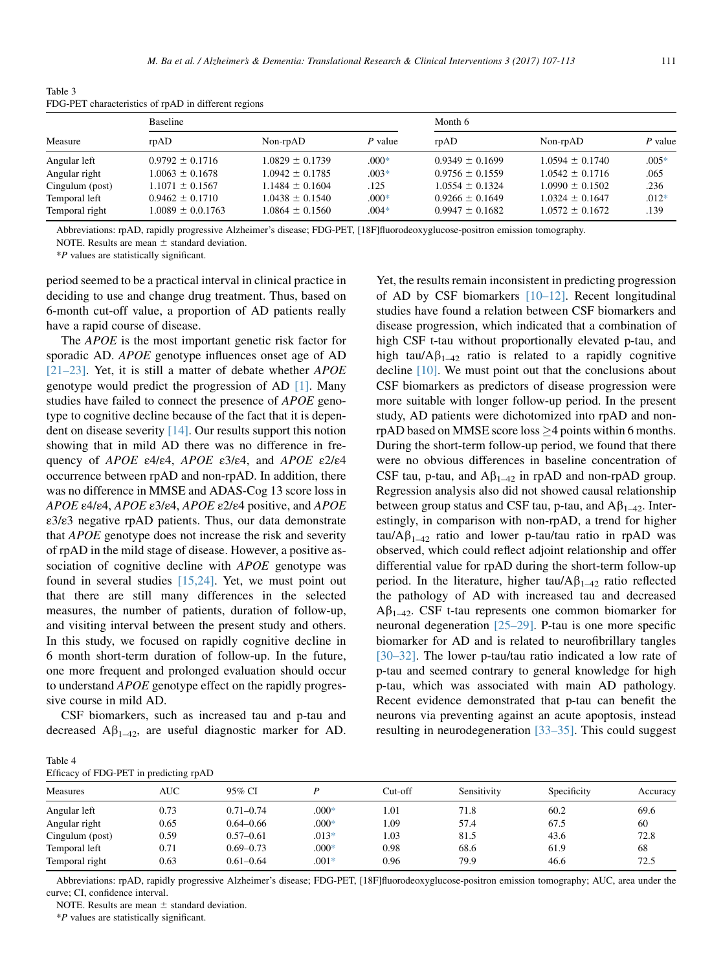Angular right 1.0063 ± 0.1678 1.0942 ± 0.1785 0.03<sup>\*</sup> 0.9756 ± 0.1559 1.0542 ± 0.1716 0.0554<br>Cingulum (post) 1.1071 ± 0.1567 1.1484 ± 0.1604 1.125 1.0554 ± 0.1324 1.0990 ± 0.1502 1.326 Cingulum (post) 1.1071 6 0.1567 1.1484 6 0.1604 .125 1.0554 6 0.1324 1.0990 6 0.1502 .236 Temporal left  $0.9462 \pm 0.1710$   $1.0438 \pm 0.1540$   $0.00\%$   $0.9266 \pm 0.1649$   $1.0324 \pm 0.1647$   $0.012\%$ Temporal right  $1.0089 \pm 0.0.1763$   $1.0864 \pm 0.1560$   $.004*$   $0.9947 \pm 0.1682$   $1.0572 \pm 0.1672$   $.139$ 

| rabie <i>3</i><br>FDG-PET characteristics of rpAD in different regions |                     |                     |         |                     |                     |         |
|------------------------------------------------------------------------|---------------------|---------------------|---------|---------------------|---------------------|---------|
| Measure                                                                | Baseline            |                     |         | Month 6             |                     |         |
|                                                                        | r <sub>p</sub> AD   | $Non-rpAD$          | P value | rpAD                | Non-rpAD            | P value |
| Angular left                                                           | $0.9792 \pm 0.1716$ | $1.0829 \pm 0.1739$ | $.000*$ | $0.9349 \pm 0.1699$ | $1.0594 \pm 0.1740$ | $.005*$ |

<span id="page-4-0"></span>Table 3 FDG-PET characterist

Abbreviations: rpAD, rapidly progressive Alzheimer's disease; FDG-PET, [18F]fluorodeoxyglucose-positron emission tomography.

NOTE. Results are mean  $\pm$  standard deviation.

\*P values are statistically significant.

period seemed to be a practical interval in clinical practice in deciding to use and change drug treatment. Thus, based on 6-month cut-off value, a proportion of AD patients really have a rapid course of disease.

The *APOE* is the most important genetic risk factor for sporadic AD. *APOE* genotype influences onset age of AD [\[21–23\].](#page-6-0) Yet, it is still a matter of debate whether APOE genotype would predict the progression of AD [\[1\].](#page-6-0) Many studies have failed to connect the presence of *APOE* genotype to cognitive decline because of the fact that it is dependent on disease severity [\[14\]](#page-6-0). Our results support this notion showing that in mild AD there was no difference in frequency of APOE ε4/ε4, APOE ε3/ε4, and APOE ε2/ε4 occurrence between rpAD and non-rpAD. In addition, there was no difference in MMSE and ADAS-Cog 13 score loss in APOE ε4/ε4, APOE ε3/ε4, APOE ε2/ε4 positive, and APOE ε3/ε3 negative rpAD patients. Thus, our data demonstrate that APOE genotype does not increase the risk and severity of rpAD in the mild stage of disease. However, a positive association of cognitive decline with APOE genotype was found in several studies [\[15,24\].](#page-6-0) Yet, we must point out that there are still many differences in the selected measures, the number of patients, duration of follow-up, and visiting interval between the present study and others. In this study, we focused on rapidly cognitive decline in 6 month short-term duration of follow-up. In the future, one more frequent and prolonged evaluation should occur to understand APOE genotype effect on the rapidly progressive course in mild AD.

CSF biomarkers, such as increased tau and p-tau and decreased  $\mathbf{A}\beta_{1-42}$ , are useful diagnostic marker for AD.

| of AD by CSF biomarkers [10-12]. Recent longitudinal                       |
|----------------------------------------------------------------------------|
| studies have found a relation between CSF biomarkers and                   |
| disease progression, which indicated that a combination of                 |
| high CSF t-tau without proportionally elevated p-tau, and                  |
| high tau/ $\mathsf{A}\beta_{1-42}$ ratio is related to a rapidly cognitive |
| decline $[10]$ . We must point out that the conclusions about              |
| CSF biomarkers as predictors of disease progression were                   |
| more suitable with longer follow-up period. In the present                 |
| study, AD patients were dichotomized into rpAD and non-                    |
| rpAD based on MMSE score loss $\geq$ 4 points within 6 months.             |
| During the short-term follow-up period, we found that there                |
| were no obvious differences in baseline concentration of                   |
| CSF tau, p-tau, and $A\beta_{1-42}$ in rpAD and non-rpAD group.            |
| Regression analysis also did not showed causal relationship                |
| between group status and CSF tau, p-tau, and $A\beta_{1-42}$ . Inter-      |
| estingly, in comparison with non-rpAD, a trend for higher                  |
| tau/A $\beta_{1-42}$ ratio and lower p-tau/tau ratio in rpAD was           |
| observed, which could reflect adjoint relationship and offer               |
| differential value for rpAD during the short-term follow-up                |
| period. In the literature, higher tau/ $A\beta_{1-42}$ ratio reflected     |
| the pathology of AD with increased tau and decreased                       |
| $A\beta_{1-42}$ . CSF t-tau represents one common biomarker for            |
| neuronal degeneration [25–29]. P-tau is one more specific                  |
| biomarker for AD and is related to neurofibrillary tangles                 |
| [30–32]. The lower p-tau/tau ratio indicated a low rate of                 |
| p-tau and seemed contrary to general knowledge for high                    |
| p-tau, which was associated with main AD pathology.                        |
| Recent evidence demonstrated that p-tau can benefit the                    |
| neurons via preventing against an acute apoptosis, instead                 |
| resulting in neurodegeneration [33-35]. This could suggest                 |

Yet, the results remain inconsistent in predicting progression

Table 4 Efficacy of FDG-PET in predicting rpAD

| Measures        | AUC  | 95% CI        |         | Cut-off | Sensitivity | Specificity | Accuracy |
|-----------------|------|---------------|---------|---------|-------------|-------------|----------|
| Angular left    | 0.73 | $0.71 - 0.74$ | $.000*$ | l.O1    | 71.8        | 60.2        | 69.6     |
| Angular right   | 0.65 | $0.64 - 0.66$ | $.000*$ | l.09    | 57.4        | 67.5        | 60       |
| Cingulum (post) | 0.59 | $0.57 - 0.61$ | $.013*$ | 1.03    | 81.5        | 43.6        | 72.8     |
| Temporal left   | 0.71 | $0.69 - 0.73$ | $.000*$ | 0.98    | 68.6        | 61.9        | 68       |
| Temporal right  | 0.63 | $0.61 - 0.64$ | $.001*$ | 0.96    | 79.9        | 46.6        | 72.5     |
|                 |      |               |         |         |             |             |          |

Abbreviations: rpAD, rapidly progressive Alzheimer's disease; FDG-PET, [18F]fluorodeoxyglucose-positron emission tomography; AUC, area under the curve; CI, confidence interval.

NOTE. Results are mean  $\pm$  standard deviation.

\*P values are statistically significant.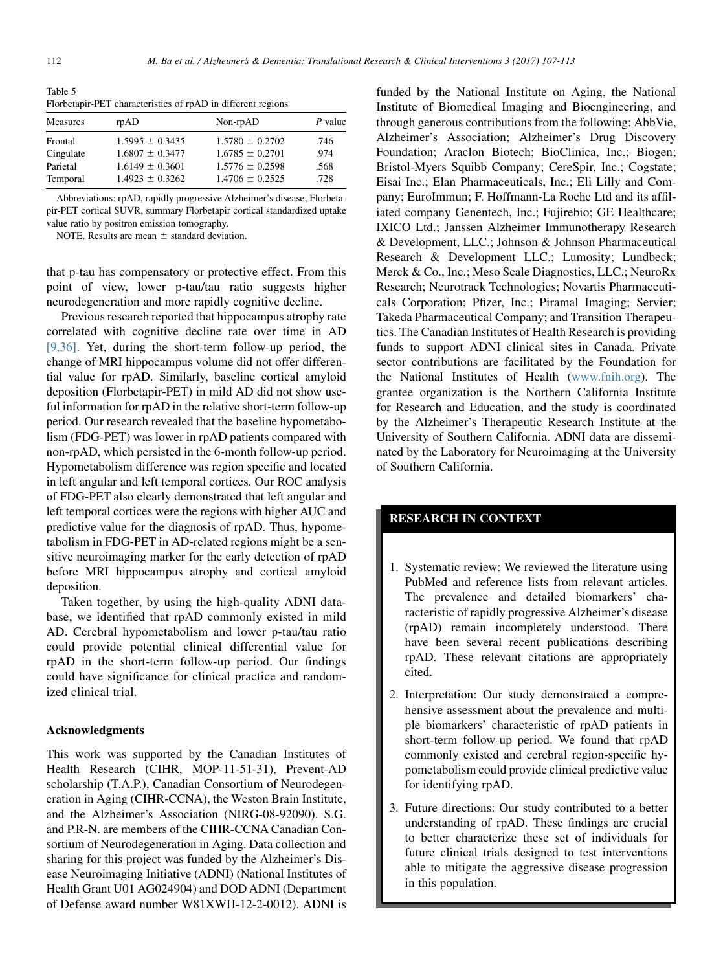Table 5 Florbetapir-PET characteristics of rpAD in different regions

| <b>Measures</b> | r <sub>p</sub> AD   | Non-rpAD            | $P$ value |  |
|-----------------|---------------------|---------------------|-----------|--|
| Frontal         | $1.5995 \pm 0.3435$ | $1.5780 \pm 0.2702$ | .746      |  |
| Cingulate       | $1.6807 \pm 0.3477$ | $1.6785 \pm 0.2701$ | .974      |  |
| Parietal        | $1.6149 \pm 0.3601$ | $1.5776 \pm 0.2598$ | .568      |  |
| Temporal        | $1.4923 \pm 0.3262$ | $1.4706 \pm 0.2525$ | .728      |  |

Abbreviations: rpAD, rapidly progressive Alzheimer's disease; Florbetapir-PET cortical SUVR, summary Florbetapir cortical standardized uptake value ratio by positron emission tomography.

NOTE. Results are mean  $\pm$  standard deviation.

that p-tau has compensatory or protective effect. From this point of view, lower p-tau/tau ratio suggests higher neurodegeneration and more rapidly cognitive decline.

Previous research reported that hippocampus atrophy rate correlated with cognitive decline rate over time in AD [\[9,36\]](#page-6-0). Yet, during the short-term follow-up period, the change of MRI hippocampus volume did not offer differential value for rpAD. Similarly, baseline cortical amyloid deposition (Florbetapir-PET) in mild AD did not show useful information for rpAD in the relative short-term follow-up period. Our research revealed that the baseline hypometabolism (FDG-PET) was lower in rpAD patients compared with non-rpAD, which persisted in the 6-month follow-up period. Hypometabolism difference was region specific and located in left angular and left temporal cortices. Our ROC analysis of FDG-PET also clearly demonstrated that left angular and left temporal cortices were the regions with higher AUC and predictive value for the diagnosis of rpAD. Thus, hypometabolism in FDG-PET in AD-related regions might be a sensitive neuroimaging marker for the early detection of rpAD before MRI hippocampus atrophy and cortical amyloid deposition.

Taken together, by using the high-quality ADNI database, we identified that rpAD commonly existed in mild AD. Cerebral hypometabolism and lower p-tau/tau ratio could provide potential clinical differential value for rpAD in the short-term follow-up period. Our findings could have significance for clinical practice and randomized clinical trial.

#### Acknowledgments

This work was supported by the Canadian Institutes of Health Research (CIHR, MOP-11-51-31), Prevent-AD scholarship (T.A.P.), Canadian Consortium of Neurodegeneration in Aging (CIHR-CCNA), the Weston Brain Institute, and the Alzheimer's Association (NIRG-08-92090). S.G. and P.R-N. are members of the CIHR-CCNA Canadian Consortium of Neurodegeneration in Aging. Data collection and sharing for this project was funded by the Alzheimer's Disease Neuroimaging Initiative (ADNI) (National Institutes of Health Grant U01 AG024904) and DOD ADNI (Department of Defense award number W81XWH-12-2-0012). ADNI is

funded by the National Institute on Aging, the National Institute of Biomedical Imaging and Bioengineering, and through generous contributions from the following: AbbVie, Alzheimer's Association; Alzheimer's Drug Discovery Foundation; Araclon Biotech; BioClinica, Inc.; Biogen; Bristol-Myers Squibb Company; CereSpir, Inc.; Cogstate; Eisai Inc.; Elan Pharmaceuticals, Inc.; Eli Lilly and Company; EuroImmun; F. Hoffmann-La Roche Ltd and its affiliated company Genentech, Inc.; Fujirebio; GE Healthcare; IXICO Ltd.; Janssen Alzheimer Immunotherapy Research & Development, LLC.; Johnson & Johnson Pharmaceutical Research & Development LLC.; Lumosity; Lundbeck; Merck & Co., Inc.; Meso Scale Diagnostics, LLC.; NeuroRx Research; Neurotrack Technologies; Novartis Pharmaceuticals Corporation; Pfizer, Inc.; Piramal Imaging; Servier; Takeda Pharmaceutical Company; and Transition Therapeutics. The Canadian Institutes of Health Research is providing funds to support ADNI clinical sites in Canada. Private sector contributions are facilitated by the Foundation for the National Institutes of Health ([www.fnih.org\)](http://www.fnih.org). The grantee organization is the Northern California Institute for Research and Education, and the study is coordinated by the Alzheimer's Therapeutic Research Institute at the University of Southern California. ADNI data are disseminated by the Laboratory for Neuroimaging at the University of Southern California.

# RESEARCH IN CONTEXT

- 1. Systematic review: We reviewed the literature using PubMed and reference lists from relevant articles. The prevalence and detailed biomarkers' characteristic of rapidly progressive Alzheimer's disease (rpAD) remain incompletely understood. There have been several recent publications describing rpAD. These relevant citations are appropriately cited.
- 2. Interpretation: Our study demonstrated a comprehensive assessment about the prevalence and multiple biomarkers' characteristic of rpAD patients in short-term follow-up period. We found that rpAD commonly existed and cerebral region-specific hypometabolism could provide clinical predictive value for identifying rpAD.
- 3. Future directions: Our study contributed to a better understanding of rpAD. These findings are crucial to better characterize these set of individuals for future clinical trials designed to test interventions able to mitigate the aggressive disease progression in this population.